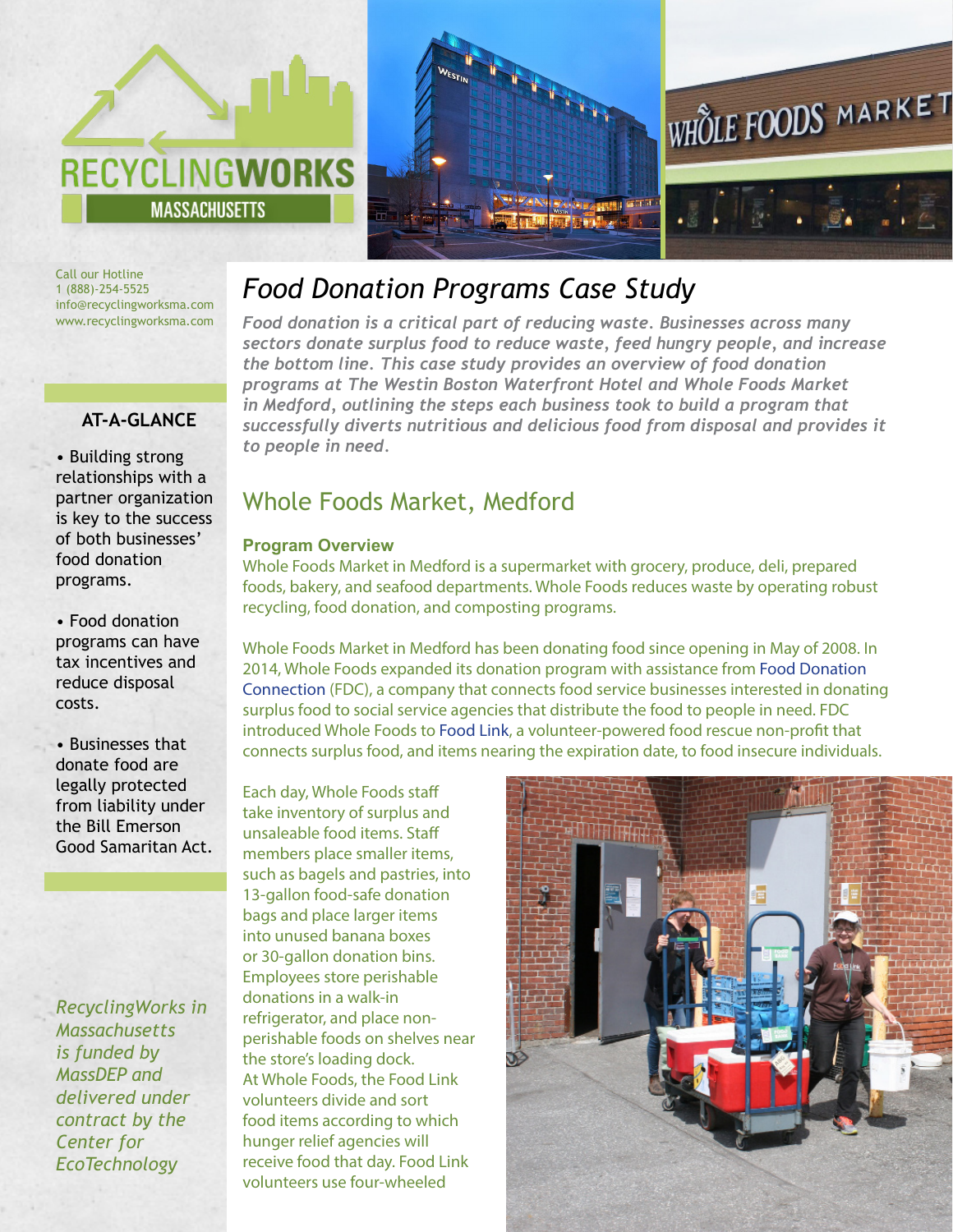



Call our Hotline 1 (888)-254-5525 info@recyclingworksma.com www.recyclingworksma.com

## **AT-A-GLANCE**

• Building strong relationships with a partner organization is key to the success of both businesses' food donation programs.

• Food donation programs can have tax incentives and reduce disposal costs.

• Businesses that donate food are legally protected from liability under the Bill Emerson Good Samaritan Act.

*RecyclingWorks in Massachusetts is funded by MassDEP and delivered under contract by the Center for EcoTechnology* 

# *Food Donation Programs Case Study*

*Food donation is a critical part of reducing waste. Businesses across many sectors donate surplus food to reduce waste, feed hungry people, and increase the bottom line. This case study provides an overview of food donation programs at The Westin Boston Waterfront Hotel and Whole Foods Market in Medford, outlining the steps each business took to build a program that successfully diverts nutritious and delicious food from disposal and provides it to people in need.* 

## Whole Foods Market, Medford

#### **Program Overview**

Whole Foods Market in Medford is a supermarket with grocery, produce, deli, prepared foods, bakery, and seafood departments. Whole Foods reduces waste by operating robust recycling, food donation, and composting programs.

Whole Foods Market in Medford has been donating food since opening in May of 2008. In 2014, Whole Foods expanded its donation program with assistance from [Food Donation](http://www.foodtodonate.com/)  [Connection \(](http://www.foodtodonate.com/)FDC), a company that connects food service businesses interested in donating surplus food to social service agencies that distribute the food to people in need. FDC introduced Whole Foods to [Food Link](http://www.foodlinkma.org/), a volunteer-powered food rescue non-profit that connects surplus food, and items nearing the expiration date, to food insecure individuals.

Each day, Whole Foods staff take inventory of surplus and unsaleable food items. Staff members place smaller items, such as bagels and pastries, into 13-gallon food-safe donation bags and place larger items into unused banana boxes or 30-gallon donation bins. Employees store perishable donations in a walk-in refrigerator, and place nonperishable foods on shelves near the store's loading dock. At Whole Foods, the Food Link volunteers divide and sort food items according to which hunger relief agencies will receive food that day. Food Link volunteers use four-wheeled